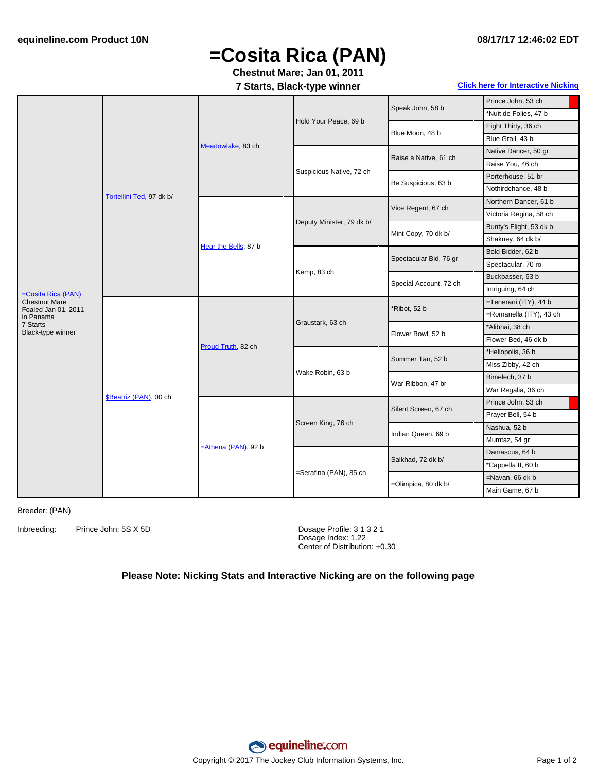#### **08/17/17 12:46:02 EDT**

## **=Cosita Rica (PAN)**

### **Chestnut Mare; Jan 01, 2011**

#### **7 Starts, Black-type winner Click here for [Interactive](#page-1-0) Nicking**

|                                                                                   | Tortellini Ted, 97 dk b/      | Meadowlake, 83 ch      | Hold Your Peace, 69 b     | Speak John, 58 b       | Prince John, 53 ch      |
|-----------------------------------------------------------------------------------|-------------------------------|------------------------|---------------------------|------------------------|-------------------------|
|                                                                                   |                               |                        |                           |                        | *Nuit de Folies, 47 b   |
|                                                                                   |                               |                        |                           | Blue Moon, 48 b        | Eight Thirty, 36 ch     |
|                                                                                   |                               |                        |                           |                        | Blue Grail, 43 b        |
|                                                                                   |                               |                        | Suspicious Native, 72 ch  | Raise a Native, 61 ch  | Native Dancer, 50 gr    |
|                                                                                   |                               |                        |                           |                        | Raise You, 46 ch        |
|                                                                                   |                               |                        |                           | Be Suspicious, 63 b    | Porterhouse, 51 br      |
|                                                                                   |                               |                        |                           |                        | Nothirdchance, 48 b     |
|                                                                                   |                               | Hear the Bells, 87 b   | Deputy Minister, 79 dk b/ | Vice Regent, 67 ch     | Northern Dancer, 61 b   |
|                                                                                   |                               |                        |                           |                        | Victoria Regina, 58 ch  |
|                                                                                   |                               |                        |                           | Mint Copy, 70 dk b/    | Bunty's Flight, 53 dk b |
|                                                                                   |                               |                        |                           |                        | Shakney, 64 dk b/       |
|                                                                                   |                               |                        | Kemp, 83 ch               | Spectacular Bid, 76 gr | Bold Bidder, 62 b       |
|                                                                                   |                               |                        |                           |                        | Spectacular, 70 ro      |
| $=$ Cosita Rica (PAN)<br><b>Chestnut Mare</b><br>Foaled Jan 01, 2011<br>in Panama |                               |                        |                           | Special Account, 72 ch | Buckpasser, 63 b        |
|                                                                                   |                               |                        |                           |                        | Intriguing, 64 ch       |
|                                                                                   | <b>\$Beatriz (PAN), 00 ch</b> | Proud Truth, 82 ch     | Graustark, 63 ch          | *Ribot, 52 b           | =Tenerani (ITY), 44 b   |
|                                                                                   |                               |                        |                           |                        | =Romanella (ITY), 43 ch |
| 7 Starts<br>Black-type winner                                                     |                               |                        |                           | Flower Bowl, 52 b      | *Alibhai, 38 ch         |
|                                                                                   |                               |                        |                           |                        | Flower Bed, 46 dk b     |
|                                                                                   |                               |                        | Wake Robin, 63 b          | Summer Tan, 52 b       | *Heliopolis, 36 b       |
|                                                                                   |                               |                        |                           |                        | Miss Zibby, 42 ch       |
|                                                                                   |                               |                        |                           | War Ribbon, 47 br      | Bimelech, 37 b          |
|                                                                                   |                               |                        |                           |                        | War Regalia, 36 ch      |
|                                                                                   |                               | $=$ Athena (PAN), 92 b | Screen King, 76 ch        | Silent Screen, 67 ch   | Prince John, 53 ch      |
|                                                                                   |                               |                        |                           |                        | Prayer Bell, 54 b       |
|                                                                                   |                               |                        |                           | Indian Queen, 69 b     | Nashua, 52 b            |
|                                                                                   |                               |                        |                           |                        | Mumtaz, 54 gr           |
|                                                                                   |                               |                        | =Serafina (PAN), 85 ch    | Salkhad, 72 dk b/      | Damascus, 64 b          |
|                                                                                   |                               |                        |                           |                        | *Cappella II, 60 b      |
|                                                                                   |                               |                        |                           | =Olimpica, 80 dk b/    | =Navan, 66 dk b         |
|                                                                                   |                               |                        |                           |                        | Main Game, 67 b         |

Breeder: (PAN)

Inbreeding: Prince John: 5S X 5D Dosage Profile: 3 1 3 2 1

Dosage Index: 1.22 Center of Distribution: +0.30

#### **Please Note: Nicking Stats and Interactive Nicking are on the following page**